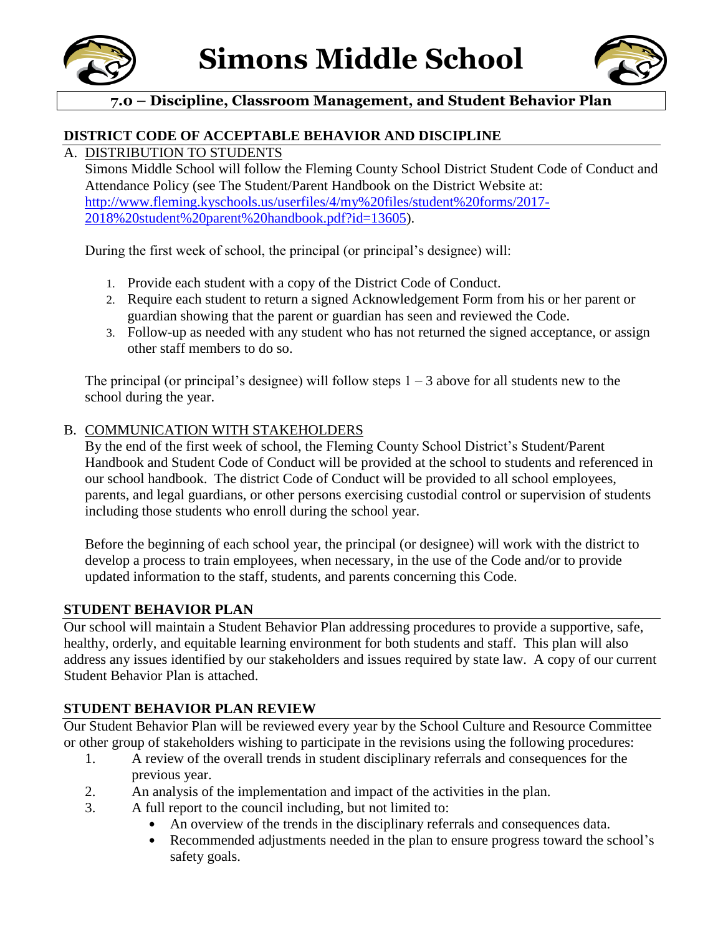



## **7.0 – Discipline, Classroom Management, and Student Behavior Plan**

#### **DISTRICT CODE OF ACCEPTABLE BEHAVIOR AND DISCIPLINE**

## A. DISTRIBUTION TO STUDENTS

Simons Middle School will follow the Fleming County School District Student Code of Conduct and Attendance Policy (see The Student/Parent Handbook on the District Website at: [http://www.fleming.kyschools.us/userfiles/4/my%20files/student%20forms/2017-](http://www.fleming.kyschools.us/userfiles/4/my%20files/student%20forms/2017-2018%20student%20parent%20handbook.pdf?id=13605) [2018%20student%20parent%20handbook.pdf?id=13605\)](http://www.fleming.kyschools.us/userfiles/4/my%20files/student%20forms/2017-2018%20student%20parent%20handbook.pdf?id=13605).

During the first week of school, the principal (or principal's designee) will:

- 1. Provide each student with a copy of the District Code of Conduct.
- 2. Require each student to return a signed Acknowledgement Form from his or her parent or guardian showing that the parent or guardian has seen and reviewed the Code.
- 3. Follow-up as needed with any student who has not returned the signed acceptance, or assign other staff members to do so.

The principal (or principal's designee) will follow steps  $1 - 3$  above for all students new to the school during the year.

#### B. COMMUNICATION WITH STAKEHOLDERS

By the end of the first week of school, the Fleming County School District's Student/Parent Handbook and Student Code of Conduct will be provided at the school to students and referenced in our school handbook. The district Code of Conduct will be provided to all school employees, parents, and legal guardians, or other persons exercising custodial control or supervision of students including those students who enroll during the school year.

Before the beginning of each school year, the principal (or designee) will work with the district to develop a process to train employees, when necessary, in the use of the Code and/or to provide updated information to the staff, students, and parents concerning this Code.

#### **STUDENT BEHAVIOR PLAN**

Our school will maintain a Student Behavior Plan addressing procedures to provide a supportive, safe, healthy, orderly, and equitable learning environment for both students and staff. This plan will also address any issues identified by our stakeholders and issues required by state law. A copy of our current Student Behavior Plan is attached.

### **STUDENT BEHAVIOR PLAN REVIEW**

Our Student Behavior Plan will be reviewed every year by the School Culture and Resource Committee or other group of stakeholders wishing to participate in the revisions using the following procedures:

- 1. A review of the overall trends in student disciplinary referrals and consequences for the previous year.
- 2. An analysis of the implementation and impact of the activities in the plan.
- 3. A full report to the council including, but not limited to:
	- An overview of the trends in the disciplinary referrals and consequences data.
	- Recommended adjustments needed in the plan to ensure progress toward the school's safety goals.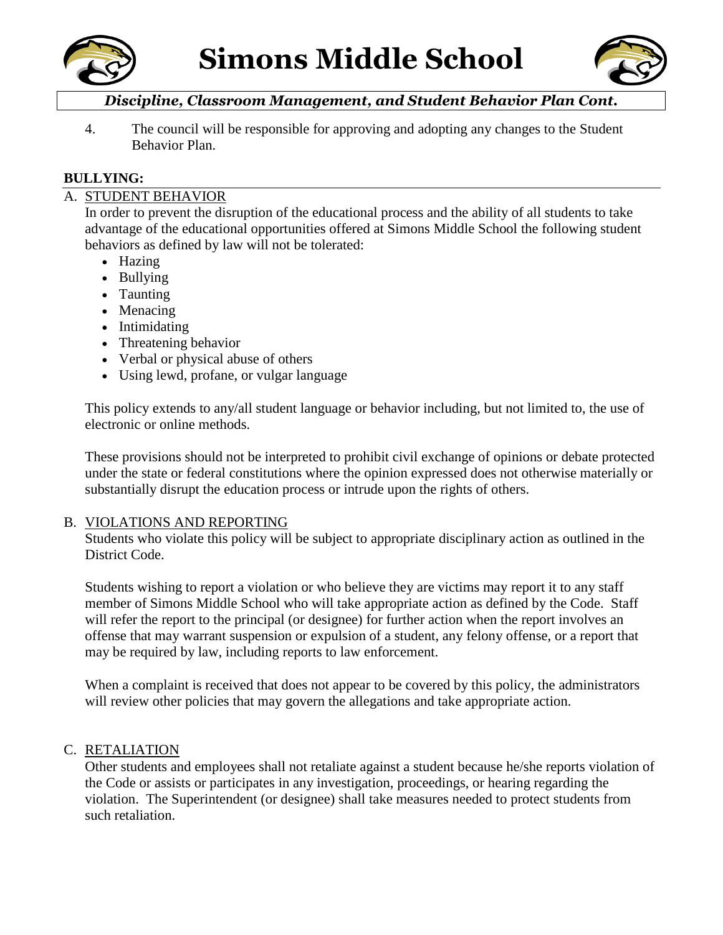



# *Discipline, Classroom Management, and Student Behavior Plan Cont.*

4. The council will be responsible for approving and adopting any changes to the Student Behavior Plan.

## **BULLYING:**

## A. STUDENT BEHAVIOR

In order to prevent the disruption of the educational process and the ability of all students to take advantage of the educational opportunities offered at Simons Middle School the following student behaviors as defined by law will not be tolerated:

- Hazing
- Bullying
- Taunting
- Menacing
- Intimidating
- Threatening behavior
- Verbal or physical abuse of others
- Using lewd, profane, or vulgar language

This policy extends to any/all student language or behavior including, but not limited to, the use of electronic or online methods.

These provisions should not be interpreted to prohibit civil exchange of opinions or debate protected under the state or federal constitutions where the opinion expressed does not otherwise materially or substantially disrupt the education process or intrude upon the rights of others.

### B. VIOLATIONS AND REPORTING

Students who violate this policy will be subject to appropriate disciplinary action as outlined in the District Code.

Students wishing to report a violation or who believe they are victims may report it to any staff member of Simons Middle School who will take appropriate action as defined by the Code. Staff will refer the report to the principal (or designee) for further action when the report involves an offense that may warrant suspension or expulsion of a student, any felony offense, or a report that may be required by law, including reports to law enforcement.

When a complaint is received that does not appear to be covered by this policy, the administrators will review other policies that may govern the allegations and take appropriate action.

### C. RETALIATION

Other students and employees shall not retaliate against a student because he/she reports violation of the Code or assists or participates in any investigation, proceedings, or hearing regarding the violation. The Superintendent (or designee) shall take measures needed to protect students from such retaliation.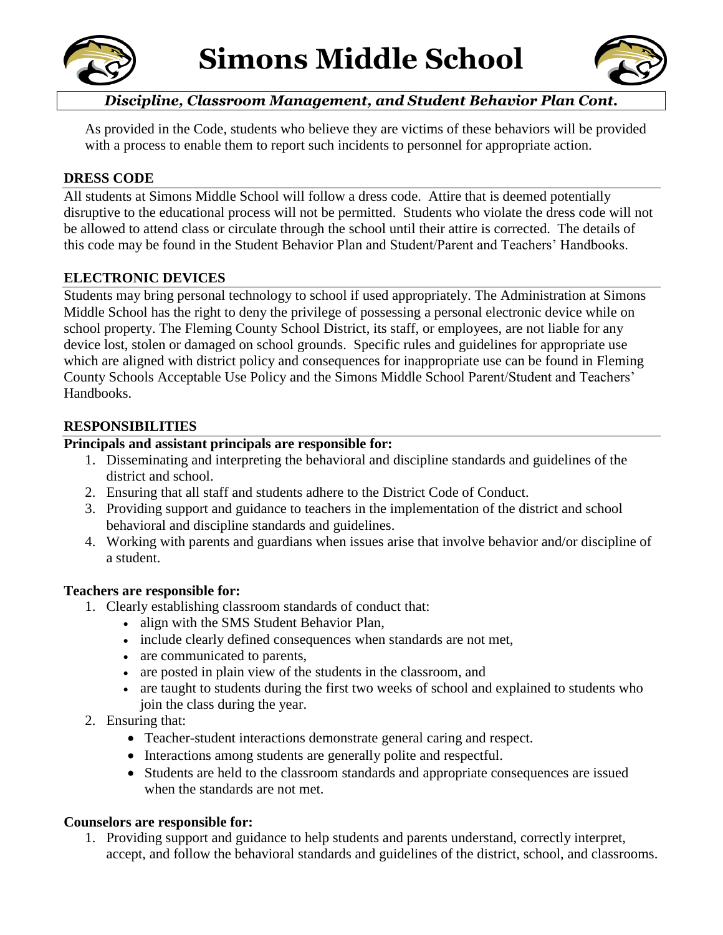



# *Discipline, Classroom Management, and Student Behavior Plan Cont.*

As provided in the Code, students who believe they are victims of these behaviors will be provided with a process to enable them to report such incidents to personnel for appropriate action.

## **DRESS CODE**

All students at Simons Middle School will follow a dress code. Attire that is deemed potentially disruptive to the educational process will not be permitted. Students who violate the dress code will not be allowed to attend class or circulate through the school until their attire is corrected. The details of this code may be found in the Student Behavior Plan and Student/Parent and Teachers' Handbooks.

### **ELECTRONIC DEVICES**

Students may bring personal technology to school if used appropriately. The Administration at Simons Middle School has the right to deny the privilege of possessing a personal electronic device while on school property. The Fleming County School District, its staff, or employees, are not liable for any device lost, stolen or damaged on school grounds. Specific rules and guidelines for appropriate use which are aligned with district policy and consequences for inappropriate use can be found in Fleming County Schools Acceptable Use Policy and the Simons Middle School Parent/Student and Teachers' Handbooks.

### **RESPONSIBILITIES**

## **Principals and assistant principals are responsible for:**

- 1. Disseminating and interpreting the behavioral and discipline standards and guidelines of the district and school.
- 2. Ensuring that all staff and students adhere to the District Code of Conduct.
- 3. Providing support and guidance to teachers in the implementation of the district and school behavioral and discipline standards and guidelines.
- 4. Working with parents and guardians when issues arise that involve behavior and/or discipline of a student.

### **Teachers are responsible for:**

- 1. Clearly establishing classroom standards of conduct that:
	- align with the SMS Student Behavior Plan,
	- include clearly defined consequences when standards are not met,
	- are communicated to parents,
	- are posted in plain view of the students in the classroom, and
	- are taught to students during the first two weeks of school and explained to students who join the class during the year.
- 2. Ensuring that:
	- Teacher-student interactions demonstrate general caring and respect.
	- Interactions among students are generally polite and respectful.
	- Students are held to the classroom standards and appropriate consequences are issued when the standards are not met.

### **Counselors are responsible for:**

1. Providing support and guidance to help students and parents understand, correctly interpret, accept, and follow the behavioral standards and guidelines of the district, school, and classrooms.